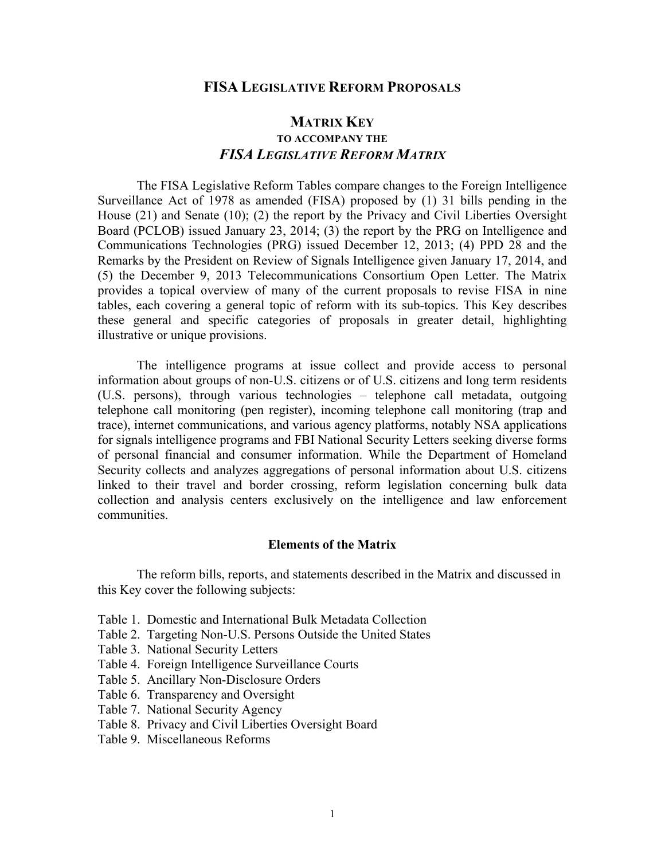# **FISA LEGISLATIVE REFORM PROPOSALS**

# **MATRIX KEY TO ACCOMPANY THE** *FISA LEGISLATIVE REFORM MATRIX*

The FISA Legislative Reform Tables compare changes to the Foreign Intelligence Surveillance Act of 1978 as amended (FISA) proposed by (1) 31 bills pending in the House (21) and Senate (10); (2) the report by the Privacy and Civil Liberties Oversight Board (PCLOB) issued January 23, 2014; (3) the report by the PRG on Intelligence and Communications Technologies (PRG) issued December 12, 2013; (4) PPD 28 and the Remarks by the President on Review of Signals Intelligence given January 17, 2014, and (5) the December 9, 2013 Telecommunications Consortium Open Letter. The Matrix provides a topical overview of many of the current proposals to revise FISA in nine tables, each covering a general topic of reform with its sub-topics. This Key describes these general and specific categories of proposals in greater detail, highlighting illustrative or unique provisions.

The intelligence programs at issue collect and provide access to personal information about groups of non-U.S. citizens or of U.S. citizens and long term residents (U.S. persons), through various technologies – telephone call metadata, outgoing telephone call monitoring (pen register), incoming telephone call monitoring (trap and trace), internet communications, and various agency platforms, notably NSA applications for signals intelligence programs and FBI National Security Letters seeking diverse forms of personal financial and consumer information. While the Department of Homeland Security collects and analyzes aggregations of personal information about U.S. citizens linked to their travel and border crossing, reform legislation concerning bulk data collection and analysis centers exclusively on the intelligence and law enforcement communities.

## **Elements of the Matrix**

The reform bills, reports, and statements described in the Matrix and discussed in this Key cover the following subjects:

- Table 1. Domestic and International Bulk Metadata Collection
- Table 2. Targeting Non-U.S. Persons Outside the United States
- Table 3. National Security Letters
- Table 4. Foreign Intelligence Surveillance Courts
- Table 5. Ancillary Non-Disclosure Orders
- Table 6. Transparency and Oversight
- Table 7. National Security Agency
- Table 8. Privacy and Civil Liberties Oversight Board
- Table 9. Miscellaneous Reforms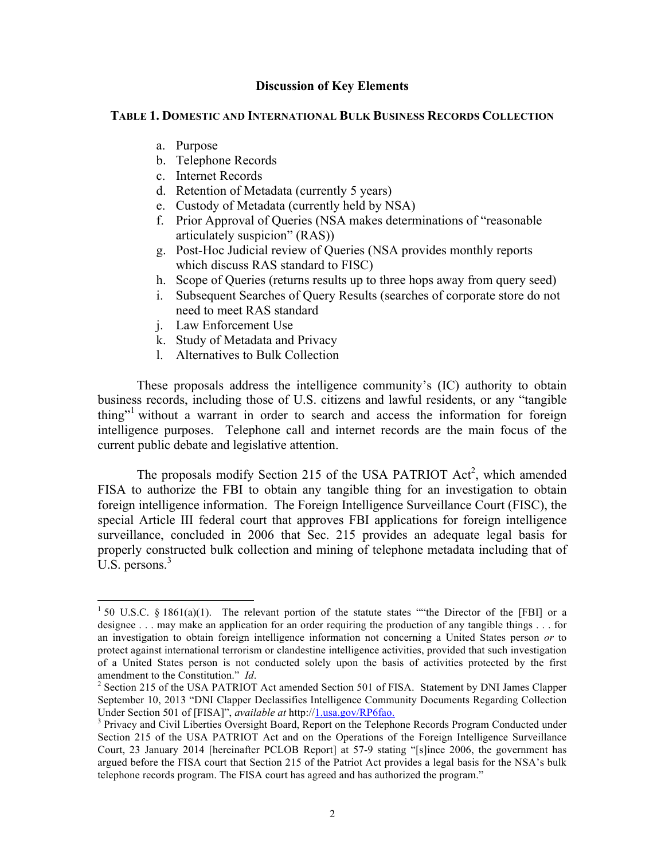# **Discussion of Key Elements**

# **TABLE 1. DOMESTIC AND INTERNATIONAL BULK BUSINESS RECORDS COLLECTION**

- a. Purpose
- b. Telephone Records
- c. Internet Records
- d. Retention of Metadata (currently 5 years)
- e. Custody of Metadata (currently held by NSA)
- f. Prior Approval of Queries (NSA makes determinations of "reasonable articulately suspicion" (RAS))
- g. Post-Hoc Judicial review of Queries (NSA provides monthly reports which discuss RAS standard to FISC)
- h. Scope of Queries (returns results up to three hops away from query seed)
- i. Subsequent Searches of Query Results (searches of corporate store do not need to meet RAS standard
- j. Law Enforcement Use
- k. Study of Metadata and Privacy
- l. Alternatives to Bulk Collection

These proposals address the intelligence community's (IC) authority to obtain business records, including those of U.S. citizens and lawful residents, or any "tangible thing"<sup>1</sup> without a warrant in order to search and access the information for foreign intelligence purposes. Telephone call and internet records are the main focus of the current public debate and legislative attention.

The proposals modify Section 215 of the USA PATRIOT Act<sup>2</sup>, which amended FISA to authorize the FBI to obtain any tangible thing for an investigation to obtain foreign intelligence information. The Foreign Intelligence Surveillance Court (FISC), the special Article III federal court that approves FBI applications for foreign intelligence surveillance, concluded in 2006 that Sec. 215 provides an adequate legal basis for properly constructed bulk collection and mining of telephone metadata including that of U.S. persons.<sup>3</sup>

<sup>&</sup>lt;sup>1</sup> 50 U.S.C. § 1861(a)(1). The relevant portion of the statute states "the Director of the [FBI] or a designee . . . may make an application for an order requiring the production of any tangible things . . . for an investigation to obtain foreign intelligence information not concerning a United States person *or* to protect against international terrorism or clandestine intelligence activities, provided that such investigation of a United States person is not conducted solely upon the basis of activities protected by the first amendment to the Constitution." *Id*. 2

<sup>&</sup>lt;sup>2</sup> Section 215 of the USA PATRIOT Act amended Section 501 of FISA. Statement by DNI James Clapper September 10, 2013 "DNI Clapper Declassifies Intelligence Community Documents Regarding Collection Under Section 501 of [FISA]", *available at* http://1.usa.gov/RP6fao.

<sup>&</sup>lt;sup>3</sup> Privacy and Civil Liberties Oversight Board, Report on the Telephone Records Program Conducted under Section 215 of the USA PATRIOT Act and on the Operations of the Foreign Intelligence Surveillance Court, 23 January 2014 [hereinafter PCLOB Report] at 57-9 stating "[s]ince 2006, the government has argued before the FISA court that Section 215 of the Patriot Act provides a legal basis for the NSA's bulk telephone records program. The FISA court has agreed and has authorized the program."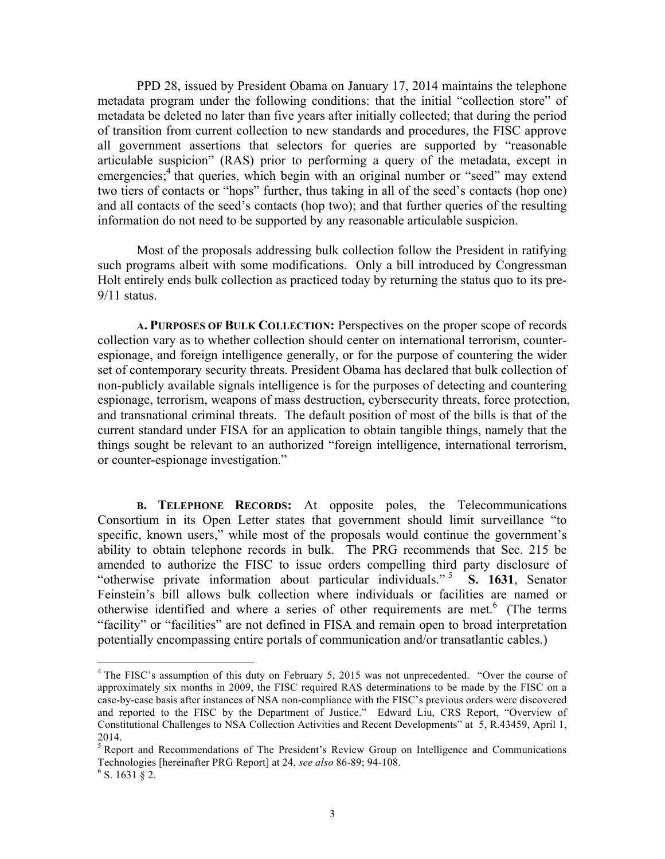PPD 28, issued by President Obama on January 17, 2014 maintains the telephone metadata program under the following conditions: that the initial "collection store" of metadata be deleted no later than five years after initially collected; that during the period of transition from current collection to new standards and procedures, the FISC approve all government assertions that selectors for queries are supported by "reasonable articulable suspicion" (RAS) prior to performing a query of the metadata, except in emergencies;<sup>4</sup> that queries, which begin with an original number or "seed" may extend two tiers of contacts or "hops" further, thus taking in all of the seed's contacts (hop one) and all contacts of the seed's contacts (hop two); and that further queries of the resulting information do not need to be supported by any reasonable articulable suspicion.

Most of the proposals addressing bulk collection follow the President in ratifying such programs albeit with some modifications. Only a bill introduced by Congressman Holt entirely ends bulk collection as practiced today by returning the status quo to its pre-9/11 status.

**A. PURPOSES OF BULK COLLECTION:** Perspectives on the proper scope of records collection vary as to whether collection should center on international terrorism, counterespionage, and foreign intelligence generally, or for the purpose of countering the wider set of contemporary security threats. President Obama has declared that bulk collection of non-publicly available signals intelligence is for the purposes of detecting and countering espionage, terrorism, weapons of mass destruction, cybersecurity threats, force protection, and transnational criminal threats. The default position of most of the bills is that of the current standard under FISA for an application to obtain tangible things, namely that the things sought be relevant to an authorized "foreign intelligence, international terrorism, or counter-espionage investigation."

**B. TELEPHONE RECORDS:** At opposite poles, the Telecommunications Consortium in its Open Letter states that government should limit surveillance "to specific, known users," while most of the proposals would continue the government's ability to obtain telephone records in bulk. The PRG recommends that Sec. 215 be amended to authorize the FISC to issue orders compelling third party disclosure of "otherwise private information about particular individuals."<sup>5</sup> S. 1631, Senator Feinstein's bill allows bulk collection where individuals or facilities are named or otherwise identified and where a series of other requirements are met. 6 (The terms "facility" or "facilities" are not defined in FISA and remain open to broad interpretation potentially encompassing entire portals of communication and/or transatlantic cables.)

<sup>&</sup>lt;sup>4</sup> The FISC's assumption of this duty on February 5, 2015 was not unprecedented. "Over the course of approximately six months in 2009, the FISC required RAS determinations to be made by the FISC on a case-by-case basis after instances of NSA non-compliance with the FISC's previous orders were discovered and reported to the FISC by the Department of Justice." Edward Liu, CRS Report, "Overview of Constitutional Challenges to NSA Collection Activities and Recent Developments" at 5, R.43459, April 1, 2014.

<sup>&</sup>lt;sup>5</sup> Report and Recommendations of The President's Review Group on Intelligence and Communications Technologies [hereinafter PRG Report] at 24, *see also* 86-89; 94-108. <sup>6</sup>

 $^6$  S. 1631 § 2.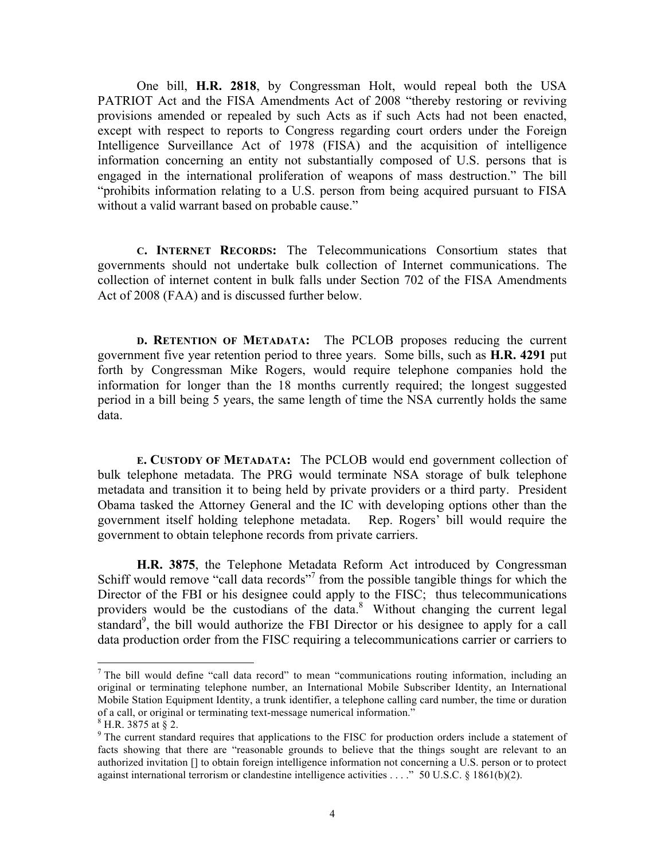One bill, **H.R. 2818**, by Congressman Holt, would repeal both the USA PATRIOT Act and the FISA Amendments Act of 2008 "thereby restoring or reviving provisions amended or repealed by such Acts as if such Acts had not been enacted, except with respect to reports to Congress regarding court orders under the Foreign Intelligence Surveillance Act of 1978 (FISA) and the acquisition of intelligence information concerning an entity not substantially composed of U.S. persons that is engaged in the international proliferation of weapons of mass destruction." The bill "prohibits information relating to a U.S. person from being acquired pursuant to FISA without a valid warrant based on probable cause."

**C. INTERNET RECORDS:** The Telecommunications Consortium states that governments should not undertake bulk collection of Internet communications. The collection of internet content in bulk falls under Section 702 of the FISA Amendments Act of 2008 (FAA) and is discussed further below.

**D. RETENTION OF METADATA:** The PCLOB proposes reducing the current government five year retention period to three years. Some bills, such as **H.R. 4291** put forth by Congressman Mike Rogers, would require telephone companies hold the information for longer than the 18 months currently required; the longest suggested period in a bill being 5 years, the same length of time the NSA currently holds the same data.

**E. CUSTODY OF METADATA:** The PCLOB would end government collection of bulk telephone metadata. The PRG would terminate NSA storage of bulk telephone metadata and transition it to being held by private providers or a third party. President Obama tasked the Attorney General and the IC with developing options other than the government itself holding telephone metadata. Rep. Rogers' bill would require the government to obtain telephone records from private carriers.

**H.R. 3875**, the Telephone Metadata Reform Act introduced by Congressman Schiff would remove "call data records"<sup>7</sup> from the possible tangible things for which the Director of the FBI or his designee could apply to the FISC; thus telecommunications providers would be the custodians of the data.<sup>8</sup> Without changing the current legal standard<sup>9</sup>, the bill would authorize the FBI Director or his designee to apply for a call data production order from the FISC requiring a telecommunications carrier or carriers to

<sup>&</sup>lt;sup>7</sup> The bill would define "call data record" to mean "communications routing information, including an original or terminating telephone number, an International Mobile Subscriber Identity, an International Mobile Station Equipment Identity, a trunk identifier, a telephone calling card number, the time or duration of a call, or original or terminating text-message numerical information." <sup>8</sup>

 $8$  H.R. 3875 at § 2.

<sup>&</sup>lt;sup>9</sup> The current standard requires that applications to the FISC for production orders include a statement of facts showing that there are "reasonable grounds to believe that the things sought are relevant to an authorized invitation [] to obtain foreign intelligence information not concerning a U.S. person or to protect against international terrorism or clandestine intelligence activities . . . ." 50 U.S.C. § 1861(b)(2).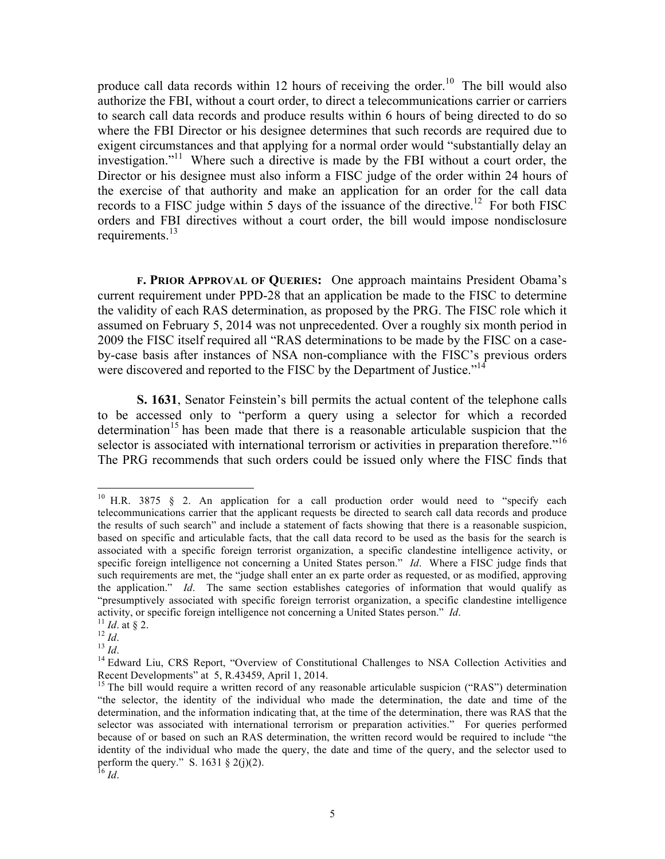produce call data records within 12 hours of receiving the order.<sup>10</sup> The bill would also authorize the FBI, without a court order, to direct a telecommunications carrier or carriers to search call data records and produce results within 6 hours of being directed to do so where the FBI Director or his designee determines that such records are required due to exigent circumstances and that applying for a normal order would "substantially delay an investigation."<sup>11</sup> Where such a directive is made by the FBI without a court order, the Director or his designee must also inform a FISC judge of the order within 24 hours of the exercise of that authority and make an application for an order for the call data records to a FISC judge within 5 days of the issuance of the directive.<sup>12</sup> For both FISC orders and FBI directives without a court order, the bill would impose nondisclosure requirements.<sup>13</sup>

**F. PRIOR APPROVAL OF QUERIES:** One approach maintains President Obama's current requirement under PPD-28 that an application be made to the FISC to determine the validity of each RAS determination, as proposed by the PRG. The FISC role which it assumed on February 5, 2014 was not unprecedented. Over a roughly six month period in 2009 the FISC itself required all "RAS determinations to be made by the FISC on a caseby-case basis after instances of NSA non-compliance with the FISC's previous orders were discovered and reported to the FISC by the Department of Justice."<sup>14</sup>

**S. 1631**, Senator Feinstein's bill permits the actual content of the telephone calls to be accessed only to "perform a query using a selector for which a recorded determination<sup>15</sup> has been made that there is a reasonable articulable suspicion that the selector is associated with international terrorism or activities in preparation therefore.<sup>"16</sup> The PRG recommends that such orders could be issued only where the FISC finds that

<sup>&</sup>lt;sup>10</sup> H.R. 3875 § 2. An application for a call production order would need to "specify each telecommunications carrier that the applicant requests be directed to search call data records and produce the results of such search" and include a statement of facts showing that there is a reasonable suspicion, based on specific and articulable facts, that the call data record to be used as the basis for the search is associated with a specific foreign terrorist organization, a specific clandestine intelligence activity, or specific foreign intelligence not concerning a United States person." *Id*. Where a FISC judge finds that such requirements are met, the "judge shall enter an ex parte order as requested, or as modified, approving the application." *Id*. The same section establishes categories of information that would qualify as "presumptively associated with specific foreign terrorist organization, a specific clandestine intelligence activity, or specific foreign intelligence not concerning a United States person." *Id.*<br>
<sup>11</sup> *Id.* at § 2.<br>
<sup>12</sup> *Id.*<br>
<sup>13</sup> *Id.*<br>
<sup>14</sup> Edward Liu, CRS Report, "Overview of Constitutional Challenges to NSA Collection A

Recent Developments" at 5, R.43459, April 1, 2014.

<sup>&</sup>lt;sup>15</sup> The bill would require a written record of any reasonable articulable suspicion ("RAS") determination "the selector, the identity of the individual who made the determination, the date and time of the determination, and the information indicating that, at the time of the determination, there was RAS that the selector was associated with international terrorism or preparation activities." For queries performed because of or based on such an RAS determination, the written record would be required to include "the identity of the individual who made the query, the date and time of the query, and the selector used to perform the query." S. 1631 § 2(j)(2).

<sup>16</sup> *Id*.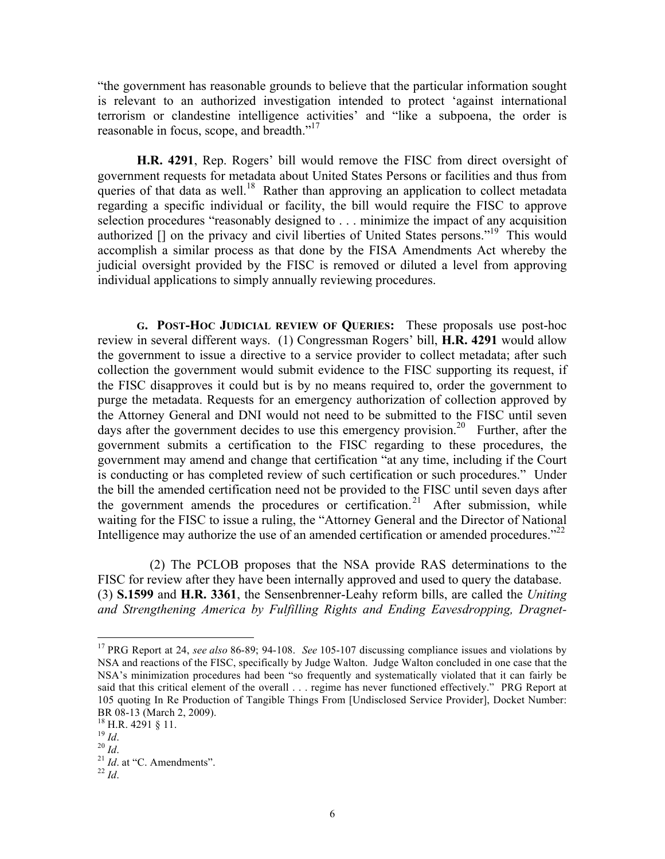"the government has reasonable grounds to believe that the particular information sought is relevant to an authorized investigation intended to protect 'against international terrorism or clandestine intelligence activities' and "like a subpoena, the order is reasonable in focus, scope, and breadth."<sup>17</sup>

**H.R. 4291**, Rep. Rogers' bill would remove the FISC from direct oversight of government requests for metadata about United States Persons or facilities and thus from queries of that data as well.<sup>18</sup> Rather than approving an application to collect metadata regarding a specific individual or facility, the bill would require the FISC to approve selection procedures "reasonably designed to . . . minimize the impact of any acquisition authorized [] on the privacy and civil liberties of United States persons."<sup>19</sup> This would accomplish a similar process as that done by the FISA Amendments Act whereby the judicial oversight provided by the FISC is removed or diluted a level from approving individual applications to simply annually reviewing procedures.

**G. POST-HOC JUDICIAL REVIEW OF QUERIES:** These proposals use post-hoc review in several different ways. (1) Congressman Rogers' bill, **H.R. 4291** would allow the government to issue a directive to a service provider to collect metadata; after such collection the government would submit evidence to the FISC supporting its request, if the FISC disapproves it could but is by no means required to, order the government to purge the metadata. Requests for an emergency authorization of collection approved by the Attorney General and DNI would not need to be submitted to the FISC until seven days after the government decides to use this emergency provision.<sup>20</sup> Further, after the government submits a certification to the FISC regarding to these procedures, the government may amend and change that certification "at any time, including if the Court is conducting or has completed review of such certification or such procedures." Under the bill the amended certification need not be provided to the FISC until seven days after the government amends the procedures or certification.<sup>21</sup> After submission, while waiting for the FISC to issue a ruling, the "Attorney General and the Director of National Intelligence may authorize the use of an amended certification or amended procedures."<sup>22</sup>

(2) The PCLOB proposes that the NSA provide RAS determinations to the FISC for review after they have been internally approved and used to query the database. (3) **S.1599** and **H.R. 3361**, the Sensenbrenner-Leahy reform bills, are called the *Uniting and Strengthening America by Fulfilling Rights and Ending Eavesdropping, Dragnet-*

 17 PRG Report at 24, *see also* 86-89; 94-108. *See* 105-107 discussing compliance issues and violations by NSA and reactions of the FISC, specifically by Judge Walton. Judge Walton concluded in one case that the NSA's minimization procedures had been "so frequently and systematically violated that it can fairly be said that this critical element of the overall . . . regime has never functioned effectively." PRG Report at 105 quoting In Re Production of Tangible Things From [Undisclosed Service Provider], Docket Number: BR 08-13 (March 2, 2009).<br><sup>18</sup> H.R. 4291 § 11.<br><sup>19</sup> *Id.*<br><sup>21</sup> *Id.* at "C. Amendments".<br><sup>22</sup> *Id*.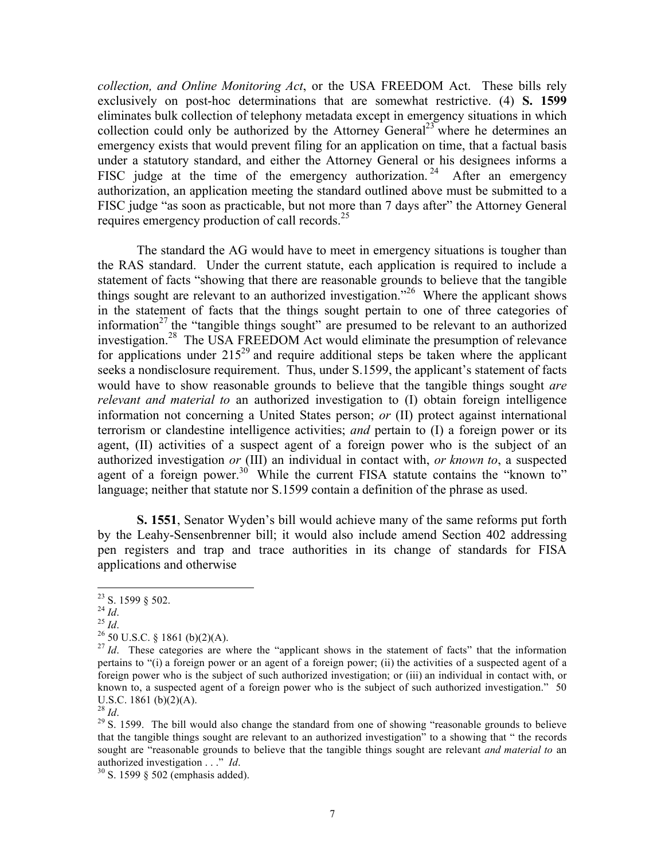*collection, and Online Monitoring Act*, or the USA FREEDOM Act. These bills rely exclusively on post-hoc determinations that are somewhat restrictive. (4) **S. 1599** eliminates bulk collection of telephony metadata except in emergency situations in which collection could only be authorized by the Attorney General<sup>23</sup> where he determines an emergency exists that would prevent filing for an application on time, that a factual basis under a statutory standard, and either the Attorney General or his designees informs a FISC judge at the time of the emergency authorization.<sup>24</sup> After an emergency authorization, an application meeting the standard outlined above must be submitted to a FISC judge "as soon as practicable, but not more than 7 days after" the Attorney General requires emergency production of call records.<sup>25</sup>

The standard the AG would have to meet in emergency situations is tougher than the RAS standard. Under the current statute, each application is required to include a statement of facts "showing that there are reasonable grounds to believe that the tangible things sought are relevant to an authorized investigation.<sup>26</sup> Where the applicant shows in the statement of facts that the things sought pertain to one of three categories of information<sup>27</sup> the "tangible things sought" are presumed to be relevant to an authorized investigation.28 The USA FREEDOM Act would eliminate the presumption of relevance for applications under  $215^{29}$  and require additional steps be taken where the applicant seeks a nondisclosure requirement. Thus, under S.1599, the applicant's statement of facts would have to show reasonable grounds to believe that the tangible things sought *are relevant and material to* an authorized investigation to (I) obtain foreign intelligence information not concerning a United States person; *or* (II) protect against international terrorism or clandestine intelligence activities; *and* pertain to (I) a foreign power or its agent, (II) activities of a suspect agent of a foreign power who is the subject of an authorized investigation *or* (III) an individual in contact with, *or known to*, a suspected agent of a foreign power.<sup>30</sup> While the current FISA statute contains the "known to" language; neither that statute nor S.1599 contain a definition of the phrase as used.

**S. 1551**, Senator Wyden's bill would achieve many of the same reforms put forth by the Leahy-Sensenbrenner bill; it would also include amend Section 402 addressing pen registers and trap and trace authorities in its change of standards for FISA applications and otherwise

<sup>&</sup>lt;sup>23</sup> S. 1599 § 502.<br><sup>24</sup> *Id.*<br><sup>25</sup> *Id.* 25 *Id.* 26 50 U.S.C. § 1861 (b)(2)(A).<br><sup>27</sup> *Id.* These categories are where the "applicant shows in the statement of facts" that the information <sup>27</sup> *Id.* pertains to "(i) a foreign power or an agent of a foreign power; (ii) the activities of a suspected agent of a foreign power who is the subject of such authorized investigation; or (iii) an individual in contact with, or known to, a suspected agent of a foreign power who is the subject of such authorized investigation." 50 U.S.C. 1861 (b)(2)(A).<br> $^{28}$  *Id.* 

<sup>&</sup>lt;sup>29</sup> S. 1599. The bill would also change the standard from one of showing "reasonable grounds to believe that the tangible things sought are relevant to an authorized investigation" to a showing that " the records sought are "reasonable grounds to believe that the tangible things sought are relevant *and material to* an authorized investigation . . ." *Id*.

<sup>&</sup>lt;sup>30</sup> S. 1599 § 502 (emphasis added).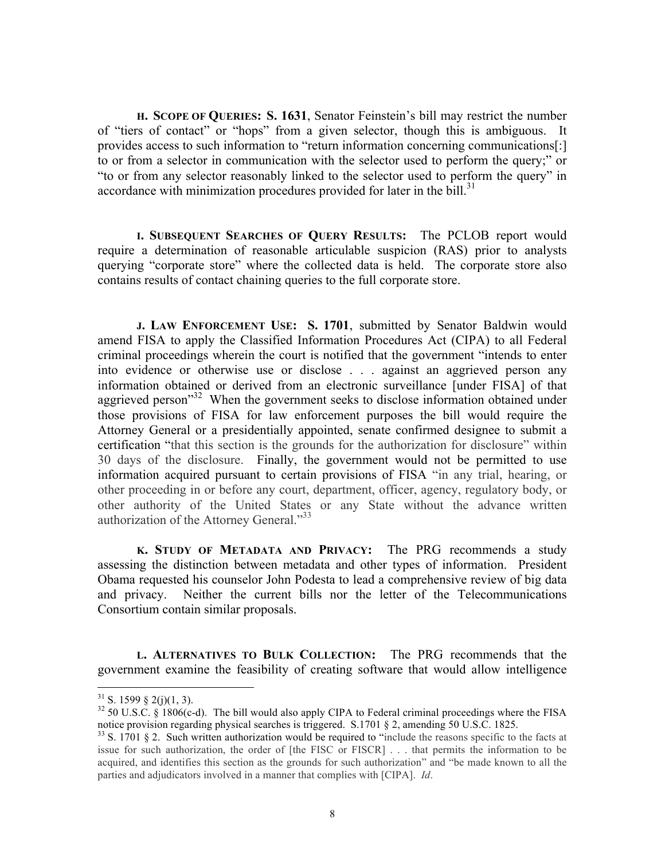**H. SCOPE OF QUERIES: S. 1631**, Senator Feinstein's bill may restrict the number of "tiers of contact" or "hops" from a given selector, though this is ambiguous. It provides access to such information to "return information concerning communications[:] to or from a selector in communication with the selector used to perform the query;" or "to or from any selector reasonably linked to the selector used to perform the query" in accordance with minimization procedures provided for later in the bill.<sup>31</sup>

**I. SUBSEQUENT SEARCHES OF QUERY RESULTS:** The PCLOB report would require a determination of reasonable articulable suspicion (RAS) prior to analysts querying "corporate store" where the collected data is held. The corporate store also contains results of contact chaining queries to the full corporate store.

**J. LAW ENFORCEMENT USE: S. 1701**, submitted by Senator Baldwin would amend FISA to apply the Classified Information Procedures Act (CIPA) to all Federal criminal proceedings wherein the court is notified that the government "intends to enter into evidence or otherwise use or disclose . . . against an aggrieved person any information obtained or derived from an electronic surveillance [under FISA] of that aggrieved person<sup>32</sup> When the government seeks to disclose information obtained under those provisions of FISA for law enforcement purposes the bill would require the Attorney General or a presidentially appointed, senate confirmed designee to submit a certification "that this section is the grounds for the authorization for disclosure" within 30 days of the disclosure. Finally, the government would not be permitted to use information acquired pursuant to certain provisions of FISA "in any trial, hearing, or other proceeding in or before any court, department, officer, agency, regulatory body, or other authority of the United States or any State without the advance written authorization of the Attorney General."33

**K. STUDY OF METADATA AND PRIVACY:** The PRG recommends a study assessing the distinction between metadata and other types of information. President Obama requested his counselor John Podesta to lead a comprehensive review of big data and privacy. Neither the current bills nor the letter of the Telecommunications Consortium contain similar proposals.

**L. ALTERNATIVES TO BULK COLLECTION:** The PRG recommends that the government examine the feasibility of creating software that would allow intelligence

<sup>&</sup>lt;sup>31</sup> S. 1599 § 2(j)(1, 3).<br><sup>32</sup> 50 U.S.C. § 1806(c-d). The bill would also apply CIPA to Federal criminal proceedings where the FISA notice provision regarding physical searches is triggered. S.1701  $\S$  2, amending 50 U.S.C. 1825.<br><sup>33</sup> S. 1701  $\S$  2. Such written authorization would be required to "include the reasons specific to the facts at

issue for such authorization, the order of [the FISC or FISCR] . . . that permits the information to be acquired, and identifies this section as the grounds for such authorization" and "be made known to all the parties and adjudicators involved in a manner that complies with [CIPA]. *Id*.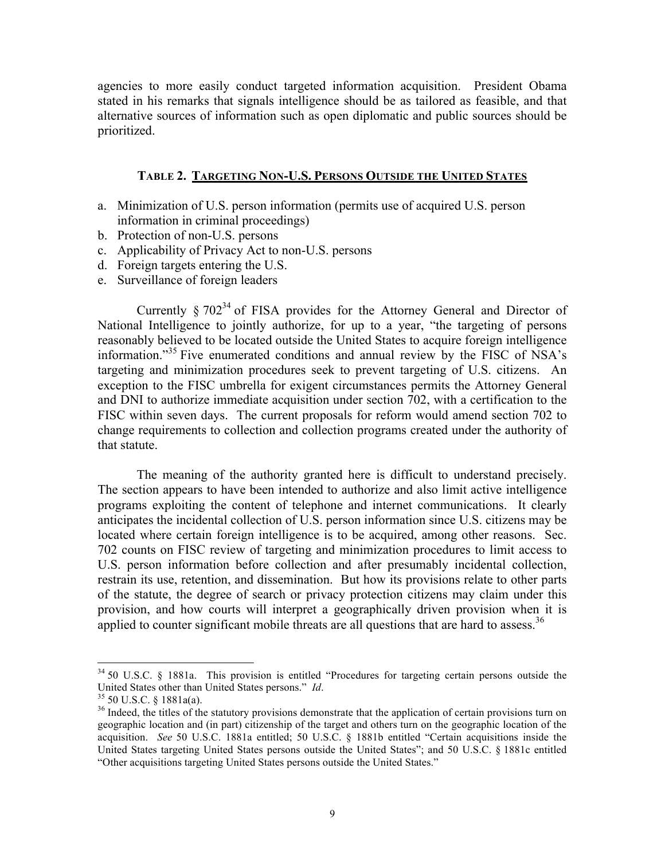agencies to more easily conduct targeted information acquisition. President Obama stated in his remarks that signals intelligence should be as tailored as feasible, and that alternative sources of information such as open diplomatic and public sources should be prioritized.

#### **TABLE 2. TARGETING NON-U.S. PERSONS OUTSIDE THE UNITED STATES**

- a. Minimization of U.S. person information (permits use of acquired U.S. person information in criminal proceedings)
- b. Protection of non-U.S. persons
- c. Applicability of Privacy Act to non-U.S. persons
- d. Foreign targets entering the U.S.
- e. Surveillance of foreign leaders

Currently  $\S 702^{34}$  of FISA provides for the Attorney General and Director of National Intelligence to jointly authorize, for up to a year, "the targeting of persons reasonably believed to be located outside the United States to acquire foreign intelligence information." 35 Five enumerated conditions and annual review by the FISC of NSA's targeting and minimization procedures seek to prevent targeting of U.S. citizens. An exception to the FISC umbrella for exigent circumstances permits the Attorney General and DNI to authorize immediate acquisition under section 702, with a certification to the FISC within seven days. The current proposals for reform would amend section 702 to change requirements to collection and collection programs created under the authority of that statute.

The meaning of the authority granted here is difficult to understand precisely. The section appears to have been intended to authorize and also limit active intelligence programs exploiting the content of telephone and internet communications. It clearly anticipates the incidental collection of U.S. person information since U.S. citizens may be located where certain foreign intelligence is to be acquired, among other reasons. Sec. 702 counts on FISC review of targeting and minimization procedures to limit access to U.S. person information before collection and after presumably incidental collection, restrain its use, retention, and dissemination. But how its provisions relate to other parts of the statute, the degree of search or privacy protection citizens may claim under this provision, and how courts will interpret a geographically driven provision when it is applied to counter significant mobile threats are all questions that are hard to assess.<sup>36</sup>

 $34$  50 U.S.C. § 1881a. This provision is entitled "Procedures for targeting certain persons outside the United States other than United States persons." *Id*.

<sup>&</sup>lt;sup>35</sup> 50 U.S.C. § 1881a(a). <sup>36</sup> Indeed, the titles of the statutory provisions demonstrate that the application of certain provisions turn on geographic location and (in part) citizenship of the target and others turn on the geographic location of the acquisition. *See* 50 U.S.C. 1881a entitled; 50 U.S.C. § 1881b entitled "Certain acquisitions inside the United States targeting United States persons outside the United States"; and 50 U.S.C. § 1881c entitled "Other acquisitions targeting United States persons outside the United States."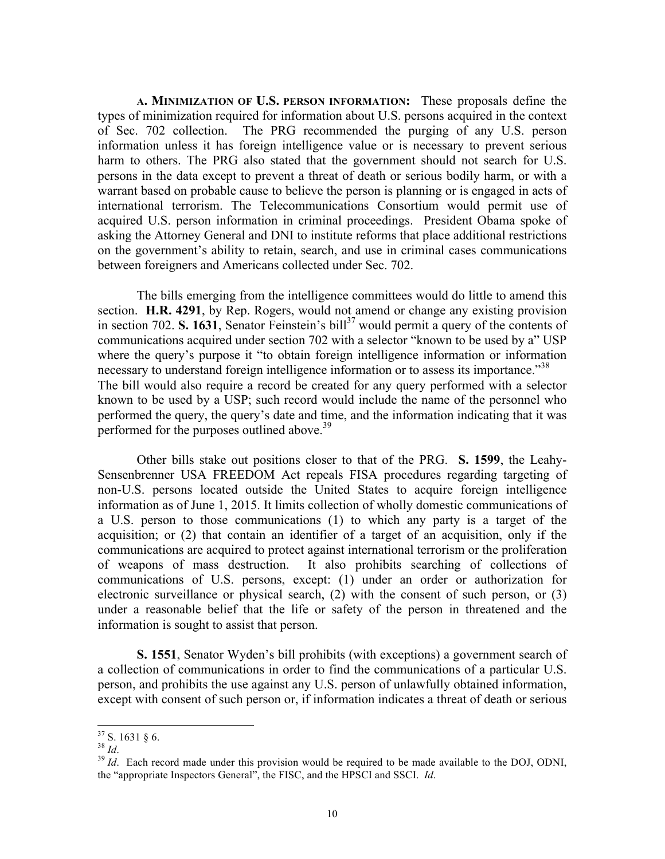**A. MINIMIZATION OF U.S. PERSON INFORMATION:** These proposals define the types of minimization required for information about U.S. persons acquired in the context of Sec. 702 collection. The PRG recommended the purging of any U.S. person information unless it has foreign intelligence value or is necessary to prevent serious harm to others. The PRG also stated that the government should not search for U.S. persons in the data except to prevent a threat of death or serious bodily harm, or with a warrant based on probable cause to believe the person is planning or is engaged in acts of international terrorism. The Telecommunications Consortium would permit use of acquired U.S. person information in criminal proceedings. President Obama spoke of asking the Attorney General and DNI to institute reforms that place additional restrictions on the government's ability to retain, search, and use in criminal cases communications between foreigners and Americans collected under Sec. 702.

The bills emerging from the intelligence committees would do little to amend this section. **H.R. 4291**, by Rep. Rogers, would not amend or change any existing provision in section 702. **S. 1631**, Senator Feinstein's bill<sup>37</sup> would permit a query of the contents of communications acquired under section 702 with a selector "known to be used by a" USP where the query's purpose it "to obtain foreign intelligence information or information necessary to understand foreign intelligence information or to assess its importance.<sup>338</sup> The bill would also require a record be created for any query performed with a selector known to be used by a USP; such record would include the name of the personnel who performed the query, the query's date and time, and the information indicating that it was performed for the purposes outlined above.<sup>39</sup>

Other bills stake out positions closer to that of the PRG. **S. 1599**, the Leahy-Sensenbrenner USA FREEDOM Act repeals FISA procedures regarding targeting of non-U.S. persons located outside the United States to acquire foreign intelligence information as of June 1, 2015. It limits collection of wholly domestic communications of a U.S. person to those communications (1) to which any party is a target of the acquisition; or (2) that contain an identifier of a target of an acquisition, only if the communications are acquired to protect against international terrorism or the proliferation of weapons of mass destruction. It also prohibits searching of collections of communications of U.S. persons, except: (1) under an order or authorization for electronic surveillance or physical search, (2) with the consent of such person, or (3) under a reasonable belief that the life or safety of the person in threatened and the information is sought to assist that person.

**S. 1551**, Senator Wyden's bill prohibits (with exceptions) a government search of a collection of communications in order to find the communications of a particular U.S. person, and prohibits the use against any U.S. person of unlawfully obtained information, except with consent of such person or, if information indicates a threat of death or serious

<sup>&</sup>lt;sup>37</sup> S. 1631 § 6.<br><sup>38</sup> *Id*. 39 *Id*. Each record made under this provision would be required to be made available to the DOJ, ODNI, the "appropriate Inspectors General", the FISC, and the HPSCI and SSCI. *Id*.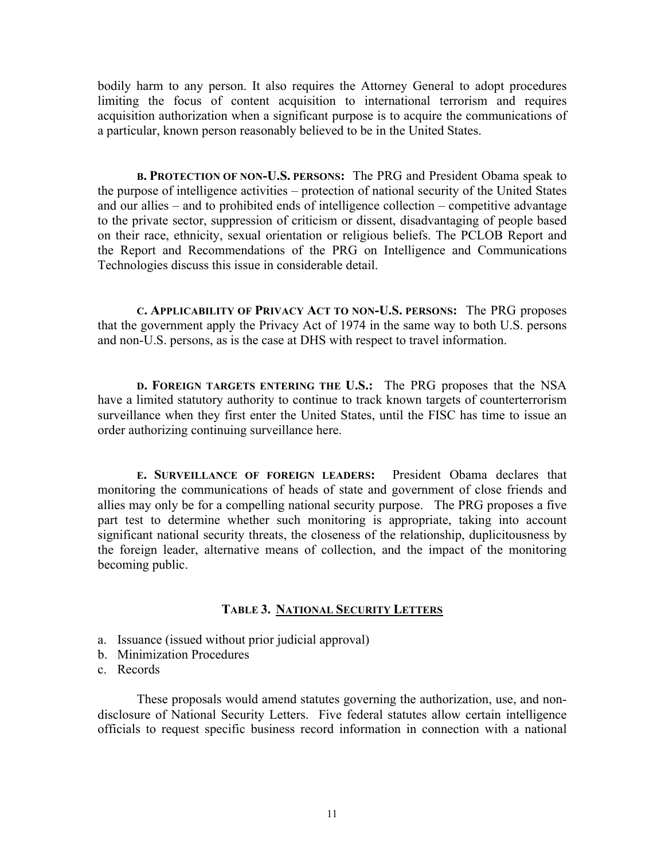bodily harm to any person. It also requires the Attorney General to adopt procedures limiting the focus of content acquisition to international terrorism and requires acquisition authorization when a significant purpose is to acquire the communications of a particular, known person reasonably believed to be in the United States.

**B. PROTECTION OF NON-U.S. PERSONS:** The PRG and President Obama speak to the purpose of intelligence activities – protection of national security of the United States and our allies – and to prohibited ends of intelligence collection – competitive advantage to the private sector, suppression of criticism or dissent, disadvantaging of people based on their race, ethnicity, sexual orientation or religious beliefs. The PCLOB Report and the Report and Recommendations of the PRG on Intelligence and Communications Technologies discuss this issue in considerable detail.

**C. APPLICABILITY OF PRIVACY ACT TO NON-U.S. PERSONS:** The PRG proposes that the government apply the Privacy Act of 1974 in the same way to both U.S. persons and non-U.S. persons, as is the case at DHS with respect to travel information.

**D. FOREIGN TARGETS ENTERING THE U.S.:** The PRG proposes that the NSA have a limited statutory authority to continue to track known targets of counterterrorism surveillance when they first enter the United States, until the FISC has time to issue an order authorizing continuing surveillance here.

**E. SURVEILLANCE OF FOREIGN LEADERS:** President Obama declares that monitoring the communications of heads of state and government of close friends and allies may only be for a compelling national security purpose. The PRG proposes a five part test to determine whether such monitoring is appropriate, taking into account significant national security threats, the closeness of the relationship, duplicitousness by the foreign leader, alternative means of collection, and the impact of the monitoring becoming public.

#### **TABLE 3. NATIONAL SECURITY LETTERS**

- a. Issuance (issued without prior judicial approval)
- b. Minimization Procedures
- c. Records

These proposals would amend statutes governing the authorization, use, and nondisclosure of National Security Letters. Five federal statutes allow certain intelligence officials to request specific business record information in connection with a national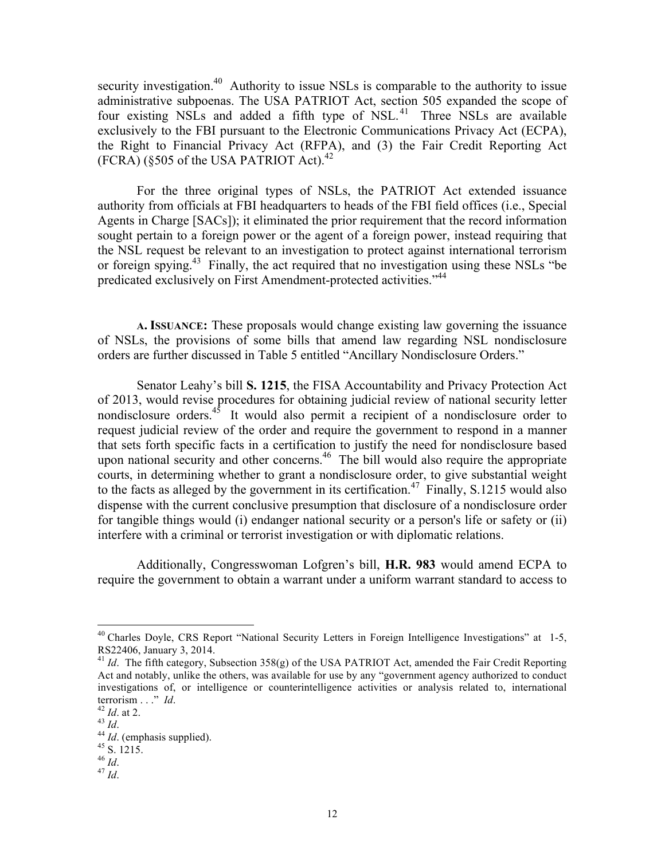security investigation.<sup>40</sup> Authority to issue NSLs is comparable to the authority to issue administrative subpoenas. The USA PATRIOT Act, section 505 expanded the scope of four existing NSLs and added a fifth type of NSL.<sup>41</sup> Three NSLs are available exclusively to the FBI pursuant to the Electronic Communications Privacy Act (ECPA), the Right to Financial Privacy Act (RFPA), and (3) the Fair Credit Reporting Act  $(FCRA)$  (§505 of the USA PATRIOT Act).<sup>42</sup>

For the three original types of NSLs, the PATRIOT Act extended issuance authority from officials at FBI headquarters to heads of the FBI field offices (i.e., Special Agents in Charge [SACs]); it eliminated the prior requirement that the record information sought pertain to a foreign power or the agent of a foreign power, instead requiring that the NSL request be relevant to an investigation to protect against international terrorism or foreign spying.43 Finally, the act required that no investigation using these NSLs "be predicated exclusively on First Amendment-protected activities."<sup>44</sup>

**A. ISSUANCE:** These proposals would change existing law governing the issuance of NSLs, the provisions of some bills that amend law regarding NSL nondisclosure orders are further discussed in Table 5 entitled "Ancillary Nondisclosure Orders."

Senator Leahy's bill **S. 1215**, the FISA Accountability and Privacy Protection Act of 2013, would revise procedures for obtaining judicial review of national security letter nondisclosure orders. $45$  It would also permit a recipient of a nondisclosure order to request judicial review of the order and require the government to respond in a manner that sets forth specific facts in a certification to justify the need for nondisclosure based upon national security and other concerns.<sup>46</sup> The bill would also require the appropriate courts, in determining whether to grant a nondisclosure order, to give substantial weight to the facts as alleged by the government in its certification.<sup>47</sup> Finally, S.1215 would also dispense with the current conclusive presumption that disclosure of a nondisclosure order for tangible things would (i) endanger national security or a person's life or safety or (ii) interfere with a criminal or terrorist investigation or with diplomatic relations.

Additionally, Congresswoman Lofgren's bill, **H.R. 983** would amend ECPA to require the government to obtain a warrant under a uniform warrant standard to access to

 $^{47}$  *Id*.

<sup>&</sup>lt;sup>40</sup> Charles Doyle, CRS Report "National Security Letters in Foreign Intelligence Investigations" at 1-5, RS22406, January 3, 2014.

<sup>&</sup>lt;sup>41</sup> *Id.* The fifth category, Subsection 358(g) of the USA PATRIOT Act, amended the Fair Credit Reporting Act and notably, unlike the others, was available for use by any "government agency authorized to conduct investigations of, or intelligence or counterintelligence activities or analysis related to, international terrorism . . ." *Id*.<br><sup>42</sup> *Id*. at 2.<br><sup>43</sup> *Id*.<br><sup>44</sup> *Id*. (emphasis supplied).<br><sup>45</sup> S. 1215.<br><sup>46</sup> *Id*.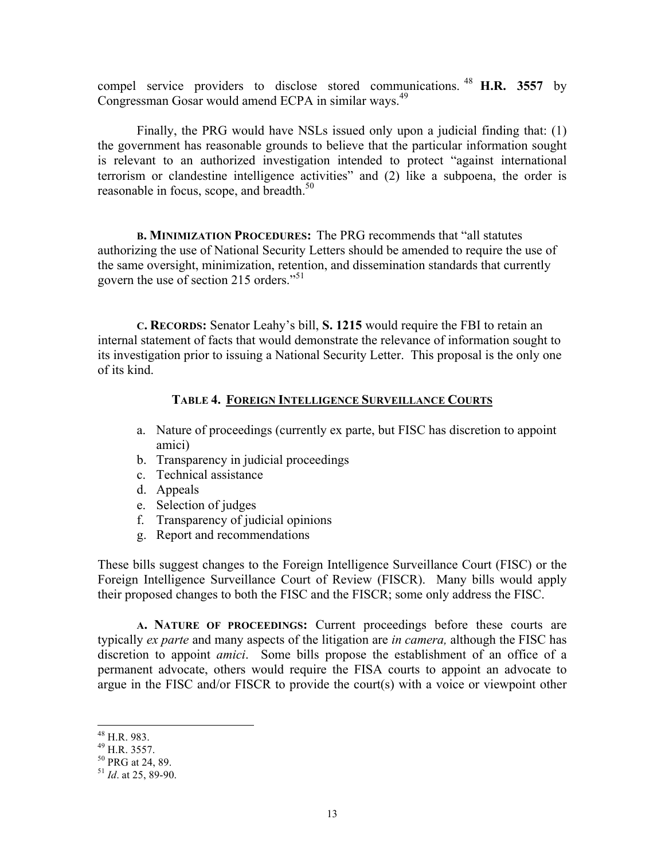compel service providers to disclose stored communications. <sup>48</sup> **H.R. 3557** by Congressman Gosar would amend ECPA in similar ways.<sup>49</sup>

Finally, the PRG would have NSLs issued only upon a judicial finding that: (1) the government has reasonable grounds to believe that the particular information sought is relevant to an authorized investigation intended to protect "against international terrorism or clandestine intelligence activities" and (2) like a subpoena, the order is reasonable in focus, scope, and breadth.<sup>50</sup>

**B. MINIMIZATION PROCEDURES:** The PRG recommends that "all statutes authorizing the use of National Security Letters should be amended to require the use of the same oversight, minimization, retention, and dissemination standards that currently govern the use of section 215 orders." 51

**C. RECORDS:** Senator Leahy's bill, **S. 1215** would require the FBI to retain an internal statement of facts that would demonstrate the relevance of information sought to its investigation prior to issuing a National Security Letter. This proposal is the only one of its kind.

## **TABLE 4. FOREIGN INTELLIGENCE SURVEILLANCE COURTS**

- a. Nature of proceedings (currently ex parte, but FISC has discretion to appoint amici)
- b. Transparency in judicial proceedings
- c. Technical assistance
- d. Appeals
- e. Selection of judges
- f. Transparency of judicial opinions
- g. Report and recommendations

These bills suggest changes to the Foreign Intelligence Surveillance Court (FISC) or the Foreign Intelligence Surveillance Court of Review (FISCR). Many bills would apply their proposed changes to both the FISC and the FISCR; some only address the FISC.

**A. NATURE OF PROCEEDINGS:** Current proceedings before these courts are typically *ex parte* and many aspects of the litigation are *in camera,* although the FISC has discretion to appoint *amici*. Some bills propose the establishment of an office of a permanent advocate, others would require the FISA courts to appoint an advocate to argue in the FISC and/or FISCR to provide the court(s) with a voice or viewpoint other

 48 H.R. 983.

 $^{49}$  H.R. 3557.

<sup>50</sup> PRG at 24, 89.

<sup>51</sup> *Id*. at 25, 89-90.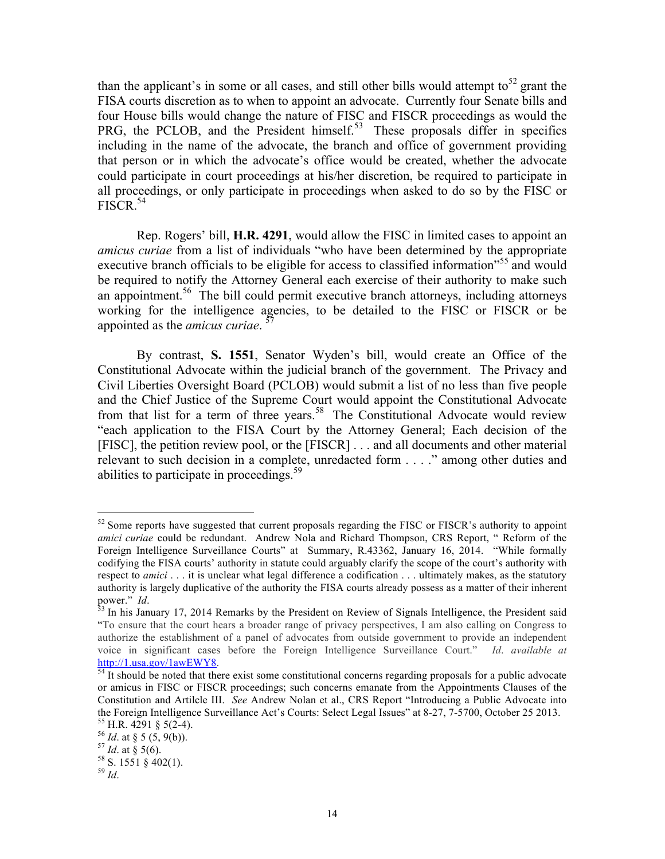than the applicant's in some or all cases, and still other bills would attempt to<sup>52</sup> grant the FISA courts discretion as to when to appoint an advocate. Currently four Senate bills and four House bills would change the nature of FISC and FISCR proceedings as would the PRG, the PCLOB, and the President himself.<sup>53</sup> These proposals differ in specifics including in the name of the advocate, the branch and office of government providing that person or in which the advocate's office would be created, whether the advocate could participate in court proceedings at his/her discretion, be required to participate in all proceedings, or only participate in proceedings when asked to do so by the FISC or  $FISCR$ <sup>54</sup>

Rep. Rogers' bill, **H.R. 4291**, would allow the FISC in limited cases to appoint an *amicus curiae* from a list of individuals "who have been determined by the appropriate executive branch officials to be eligible for access to classified information<sup>55</sup> and would be required to notify the Attorney General each exercise of their authority to make such an appointment.<sup>56</sup> The bill could permit executive branch attorneys, including attorneys working for the intelligence agencies, to be detailed to the FISC or FISCR or be appointed as the *amicus curiae*. 57

By contrast, **S. 1551**, Senator Wyden's bill, would create an Office of the Constitutional Advocate within the judicial branch of the government. The Privacy and Civil Liberties Oversight Board (PCLOB) would submit a list of no less than five people and the Chief Justice of the Supreme Court would appoint the Constitutional Advocate from that list for a term of three years.<sup>58</sup> The Constitutional Advocate would review "each application to the FISA Court by the Attorney General; Each decision of the [FISC], the petition review pool, or the [FISCR] . . . and all documents and other material relevant to such decision in a complete, unredacted form . . . ." among other duties and abilities to participate in proceedings.<sup>59</sup>

 $52$  Some reports have suggested that current proposals regarding the FISC or FISCR's authority to appoint *amici curiae* could be redundant. Andrew Nola and Richard Thompson, CRS Report, " Reform of the Foreign Intelligence Surveillance Courts" at Summary, R.43362, January 16, 2014. "While formally codifying the FISA courts' authority in statute could arguably clarify the scope of the court's authority with respect to *amici* . . . it is unclear what legal difference a codification . . . ultimately makes, as the statutory authority is largely duplicative of the authority the FISA courts already possess as a matter of their inherent

power." *Id.* 53 In his January 17, 2014 Remarks by the President on Review of Signals Intelligence, the President said "To ensure that the court hears a broader range of privacy perspectives, I am also calling on Congress to authorize the establishment of a panel of advocates from outside government to provide an independent voice in significant cases before the Foreign Intelligence Surveillance Court." *Id*. *available at* http://1.usa.gov/1awEWY8.<br><sup>54</sup> It should be noted that there exist some constitutional concerns regarding proposals for a public advocate

or amicus in FISC or FISCR proceedings; such concerns emanate from the Appointments Clauses of the Constitution and Artilcle III. *See* Andrew Nolan et al., CRS Report "Introducing a Public Advocate into the Foreign Intelligence Surveillance Act's Courts: Select Legal Issues" at 8-27, 7-5700, October 25 2013.<br><sup>55</sup> H.R. 4291 § 5(2-4).<br><sup>56</sup> *Id.* at § 5 (5, 9(b)).<br><sup>57</sup> *Id.* at § 5(6).<br><sup>58</sup> S. 1551 § 402(1).

<sup>59</sup> *Id*.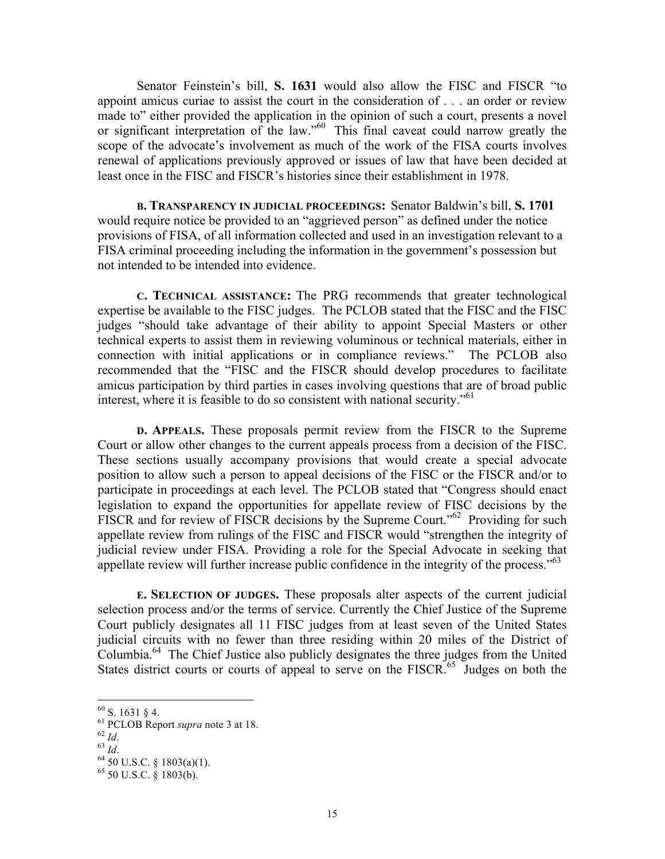Senator Feinstein's bill, **S. 1631** would also allow the FISC and FISCR "to appoint amicus curiae to assist the court in the consideration of . . . an order or review made to" either provided the application in the opinion of such a court, presents a novel or significant interpretation of the law."60 This final caveat could narrow greatly the scope of the advocate's involvement as much of the work of the FISA courts involves renewal of applications previously approved or issues of law that have been decided at least once in the FISC and FISCR's histories since their establishment in 1978.

**B. TRANSPARENCY IN JUDICIAL PROCEEDINGS:** Senator Baldwin's bill, **S. 1701** would require notice be provided to an "aggrieved person" as defined under the notice provisions of FISA, of all information collected and used in an investigation relevant to a FISA criminal proceeding including the information in the government's possession but not intended to be intended into evidence.

**C. TECHNICAL ASSISTANCE:** The PRG recommends that greater technological expertise be available to the FISC judges. The PCLOB stated that the FISC and the FISC judges "should take advantage of their ability to appoint Special Masters or other technical experts to assist them in reviewing voluminous or technical materials, either in connection with initial applications or in compliance reviews." The PCLOB also recommended that the "FISC and the FISCR should develop procedures to facilitate amicus participation by third parties in cases involving questions that are of broad public interest, where it is feasible to do so consistent with national security." 61

**D. APPEALS.** These proposals permit review from the FISCR to the Supreme Court or allow other changes to the current appeals process from a decision of the FISC. These sections usually accompany provisions that would create a special advocate position to allow such a person to appeal decisions of the FISC or the FISCR and/or to participate in proceedings at each level. The PCLOB stated that "Congress should enact legislation to expand the opportunities for appellate review of FISC decisions by the FISCR and for review of FISCR decisions by the Supreme Court."<sup>62</sup> Providing for such appellate review from rulings of the FISC and FISCR would "strengthen the integrity of judicial review under FISA. Providing a role for the Special Advocate in seeking that appellate review will further increase public confidence in the integrity of the process."<sup>63</sup>

**E. SELECTION OF JUDGES.** These proposals alter aspects of the current judicial selection process and/or the terms of service. Currently the Chief Justice of the Supreme Court publicly designates all 11 FISC judges from at least seven of the United States judicial circuits with no fewer than three residing within 20 miles of the District of Columbia.<sup>64</sup> The Chief Justice also publicly designates the three judges from the United States district courts or courts of appeal to serve on the FISCR.<sup>65</sup> Judges on both the

 $60$  S. 1631 § 4.

<sup>61</sup> PCLOB Report *supra* note 3 at 18.<br>
<sup>62</sup> *Id.*<br>
<sup>63</sup> *Id.* <sup>64</sup> 50 U.S.C. § 1803(a)(1).

 $65$  50 U.S.C. § 1803(b).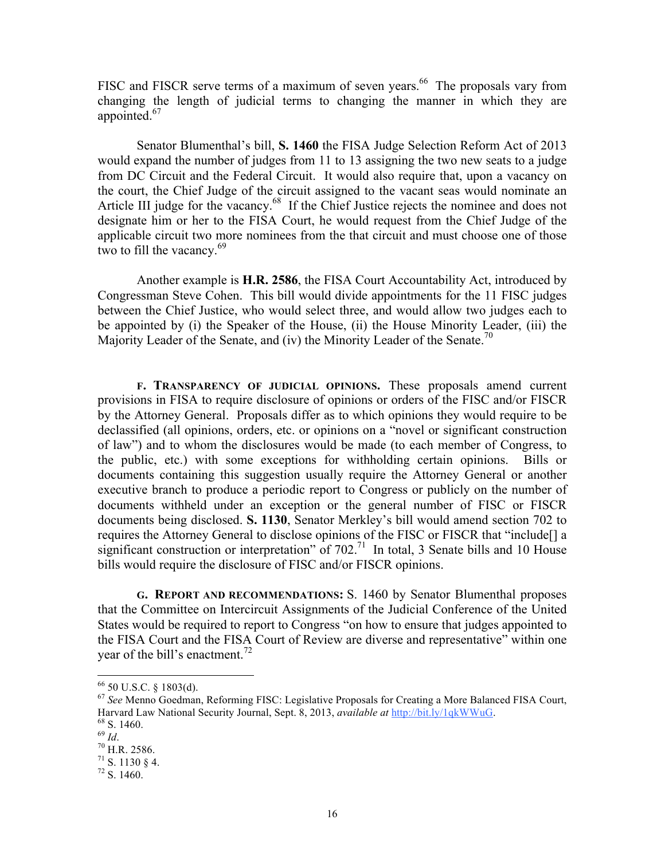FISC and FISCR serve terms of a maximum of seven years.<sup>66</sup> The proposals vary from changing the length of judicial terms to changing the manner in which they are appointed.<sup>67</sup>

Senator Blumenthal's bill, **S. 1460** the FISA Judge Selection Reform Act of 2013 would expand the number of judges from 11 to 13 assigning the two new seats to a judge from DC Circuit and the Federal Circuit. It would also require that, upon a vacancy on the court, the Chief Judge of the circuit assigned to the vacant seas would nominate an Article III judge for the vacancy.<sup>68</sup> If the Chief Justice rejects the nominee and does not designate him or her to the FISA Court, he would request from the Chief Judge of the applicable circuit two more nominees from the that circuit and must choose one of those two to fill the vacancy.<sup>69</sup>

Another example is **H.R. 2586**, the FISA Court Accountability Act, introduced by Congressman Steve Cohen. This bill would divide appointments for the 11 FISC judges between the Chief Justice, who would select three, and would allow two judges each to be appointed by (i) the Speaker of the House, (ii) the House Minority Leader, (iii) the Majority Leader of the Senate, and (iv) the Minority Leader of the Senate.<sup>70</sup>

**F. TRANSPARENCY OF JUDICIAL OPINIONS.** These proposals amend current provisions in FISA to require disclosure of opinions or orders of the FISC and/or FISCR by the Attorney General. Proposals differ as to which opinions they would require to be declassified (all opinions, orders, etc. or opinions on a "novel or significant construction of law") and to whom the disclosures would be made (to each member of Congress, to the public, etc.) with some exceptions for withholding certain opinions. Bills or documents containing this suggestion usually require the Attorney General or another executive branch to produce a periodic report to Congress or publicly on the number of documents withheld under an exception or the general number of FISC or FISCR documents being disclosed. **S. 1130**, Senator Merkley's bill would amend section 702 to requires the Attorney General to disclose opinions of the FISC or FISCR that "include[] a significant construction or interpretation" of 702.<sup>71</sup> In total, 3 Senate bills and 10 House bills would require the disclosure of FISC and/or FISCR opinions.

**G. REPORT AND RECOMMENDATIONS:** S. 1460 by Senator Blumenthal proposes that the Committee on Intercircuit Assignments of the Judicial Conference of the United States would be required to report to Congress "on how to ensure that judges appointed to the FISA Court and the FISA Court of Review are diverse and representative" within one year of the bill's enactment.<sup>72</sup>

 66 50 U.S.C. § 1803(d).

<sup>67</sup> *See* Menno Goedman, Reforming FISC: Legislative Proposals for Creating a More Balanced FISA Court, Harvard Law National Security Journal, Sept. 8, 2013, *available at* http://bit.ly/1qkWWuG. 68 S. 1460.

<sup>&</sup>lt;sup>70</sup> H.R. 2586.<br><sup>71</sup> S. 1130 § 4.<br><sup>72</sup> S. 1460.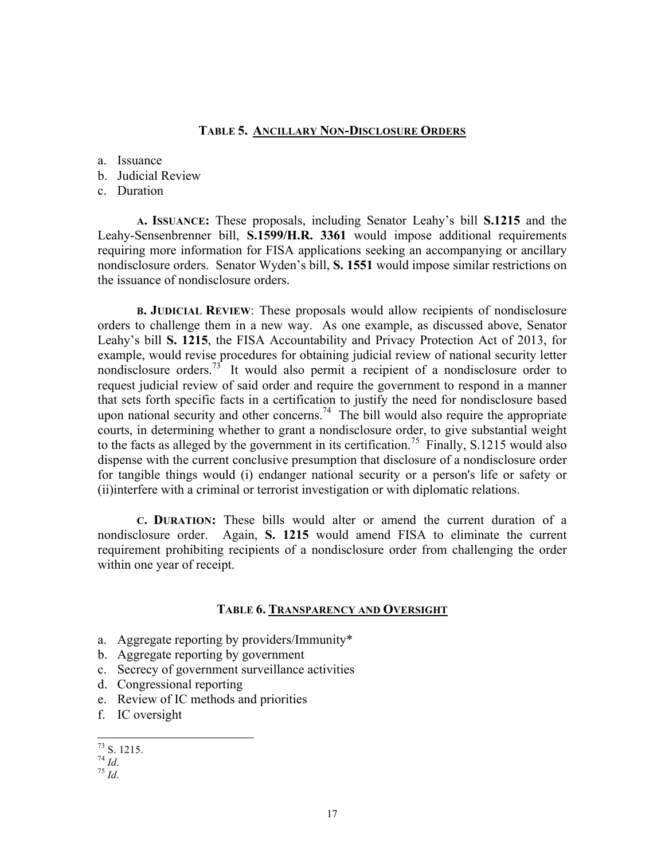#### **TABLE 5. ANCILLARY NON-DISCLOSURE ORDERS**

a. Issuance

- b. Judicial Review
- c. Duration

**A. ISSUANCE:** These proposals, including Senator Leahy's bill **S.1215** and the Leahy-Sensenbrenner bill, **S.1599/H.R. 3361** would impose additional requirements requiring more information for FISA applications seeking an accompanying or ancillary nondisclosure orders. Senator Wyden's bill, **S. 1551** would impose similar restrictions on the issuance of nondisclosure orders.

**B. JUDICIAL REVIEW**: These proposals would allow recipients of nondisclosure orders to challenge them in a new way. As one example, as discussed above, Senator Leahy's bill **S. 1215**, the FISA Accountability and Privacy Protection Act of 2013, for example, would revise procedures for obtaining judicial review of national security letter nondisclosure orders.<sup>73</sup> It would also permit a recipient of a nondisclosure order to request judicial review of said order and require the government to respond in a manner that sets forth specific facts in a certification to justify the need for nondisclosure based upon national security and other concerns.<sup>74</sup> The bill would also require the appropriate courts, in determining whether to grant a nondisclosure order, to give substantial weight to the facts as alleged by the government in its certification.<sup>75</sup> Finally, S.1215 would also dispense with the current conclusive presumption that disclosure of a nondisclosure order for tangible things would (i) endanger national security or a person's life or safety or (ii)interfere with a criminal or terrorist investigation or with diplomatic relations.

**C. DURATION:** These bills would alter or amend the current duration of a nondisclosure order. Again, **S. 1215** would amend FISA to eliminate the current requirement prohibiting recipients of a nondisclosure order from challenging the order within one year of receipt.

## **TABLE 6. TRANSPARENCY AND OVERSIGHT**

- a. Aggregate reporting by providers/Immunity\*
- b. Aggregate reporting by government
- c. Secrecy of government surveillance activities
- d. Congressional reporting
- e. Review of IC methods and priorities
- f. IC oversight

 $^{75}$  *Id*.

 $\frac{73}{74}$  S. 1215.<br> $\frac{74}{1}$  Jd.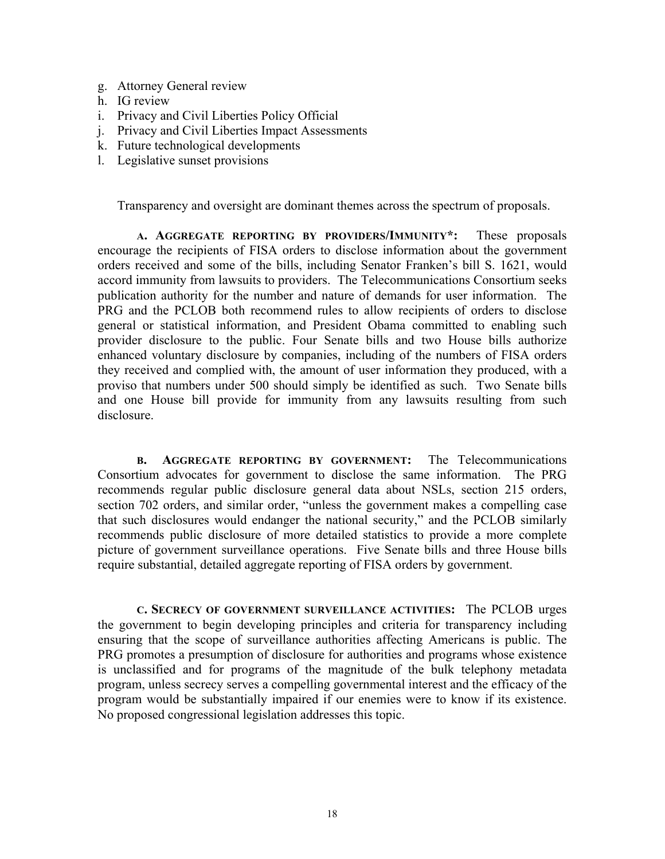- g. Attorney General review
- h. IG review
- i. Privacy and Civil Liberties Policy Official
- j. Privacy and Civil Liberties Impact Assessments
- k. Future technological developments
- l. Legislative sunset provisions

Transparency and oversight are dominant themes across the spectrum of proposals.

**A. AGGREGATE REPORTING BY PROVIDERS/IMMUNITY\*:** These proposals encourage the recipients of FISA orders to disclose information about the government orders received and some of the bills, including Senator Franken's bill S. 1621, would accord immunity from lawsuits to providers. The Telecommunications Consortium seeks publication authority for the number and nature of demands for user information. The PRG and the PCLOB both recommend rules to allow recipients of orders to disclose general or statistical information, and President Obama committed to enabling such provider disclosure to the public. Four Senate bills and two House bills authorize enhanced voluntary disclosure by companies, including of the numbers of FISA orders they received and complied with, the amount of user information they produced, with a proviso that numbers under 500 should simply be identified as such. Two Senate bills and one House bill provide for immunity from any lawsuits resulting from such disclosure.

**B. AGGREGATE REPORTING BY GOVERNMENT:** The Telecommunications Consortium advocates for government to disclose the same information.The PRG recommends regular public disclosure general data about NSLs, section 215 orders, section 702 orders, and similar order, "unless the government makes a compelling case that such disclosures would endanger the national security," and the PCLOB similarly recommends public disclosure of more detailed statistics to provide a more complete picture of government surveillance operations. Five Senate bills and three House bills require substantial, detailed aggregate reporting of FISA orders by government.

**C. SECRECY OF GOVERNMENT SURVEILLANCE ACTIVITIES:** The PCLOB urges the government to begin developing principles and criteria for transparency including ensuring that the scope of surveillance authorities affecting Americans is public. The PRG promotes a presumption of disclosure for authorities and programs whose existence is unclassified and for programs of the magnitude of the bulk telephony metadata program, unless secrecy serves a compelling governmental interest and the efficacy of the program would be substantially impaired if our enemies were to know if its existence. No proposed congressional legislation addresses this topic.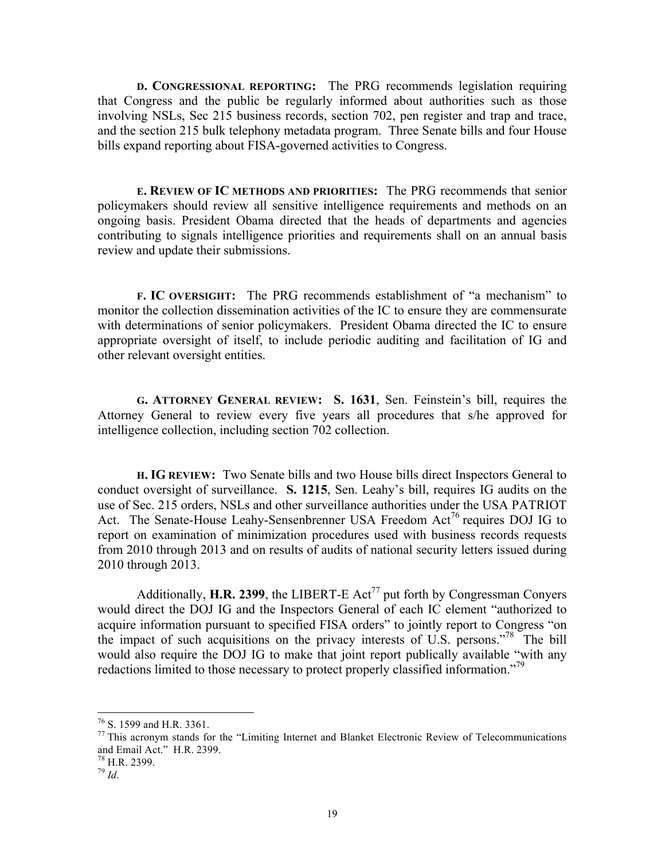**D. CONGRESSIONAL REPORTING:** The PRG recommends legislation requiring that Congress and the public be regularly informed about authorities such as those involving NSLs, Sec 215 business records, section 702, pen register and trap and trace, and the section 215 bulk telephony metadata program. Three Senate bills and four House bills expand reporting about FISA-governed activities to Congress.

**E. REVIEW OF IC METHODS AND PRIORITIES:** The PRG recommends that senior policymakers should review all sensitive intelligence requirements and methods on an ongoing basis. President Obama directed that the heads of departments and agencies contributing to signals intelligence priorities and requirements shall on an annual basis review and update their submissions.

**F. IC OVERSIGHT:** The PRG recommends establishment of "a mechanism" to monitor the collection dissemination activities of the IC to ensure they are commensurate with determinations of senior policymakers. President Obama directed the IC to ensure appropriate oversight of itself, to include periodic auditing and facilitation of IG and other relevant oversight entities.

**G. ATTORNEY GENERAL REVIEW: S. 1631**, Sen. Feinstein's bill, requires the Attorney General to review every five years all procedures that s/he approved for intelligence collection, including section 702 collection.

**H. IG REVIEW:** Two Senate bills and two House bills direct Inspectors General to conduct oversight of surveillance. **S. 1215**, Sen. Leahy's bill, requires IG audits on the use of Sec. 215 orders, NSLs and other surveillance authorities under the USA PATRIOT Act. The Senate-House Leahy-Sensenbrenner USA Freedom Act<sup>76</sup> requires DOJ IG to report on examination of minimization procedures used with business records requests from 2010 through 2013 and on results of audits of national security letters issued during 2010 through 2013.

Additionally, **H.R. 2399**, the LIBERT-E Act<sup>77</sup> put forth by Congressman Conyers would direct the DOJ IG and the Inspectors General of each IC element "authorized to acquire information pursuant to specified FISA orders" to jointly report to Congress "on the impact of such acquisitions on the privacy interests of U.S. persons."<sup>78</sup> The bill would also require the DOJ IG to make that joint report publically available "with any redactions limited to those necessary to protect properly classified information."<sup>79</sup>

<sup>&</sup>lt;sup>76</sup> S. 1599 and H.R. 3361.<br><sup>77</sup> This acronym stands for the "Limiting Internet and Blanket Electronic Review of Telecommunications and Email Act." H.R. 2399. 78 H.R. 2399.

 $^{79}$  *Id.*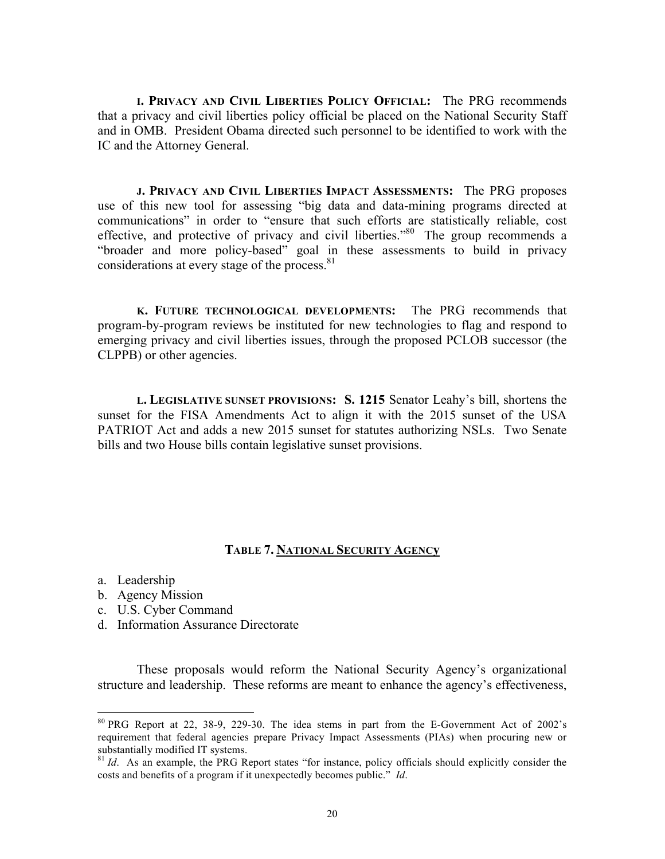**I. PRIVACY AND CIVIL LIBERTIES POLICY OFFICIAL:** The PRG recommends that a privacy and civil liberties policy official be placed on the National Security Staff and in OMB. President Obama directed such personnel to be identified to work with the IC and the Attorney General.

**J. PRIVACY AND CIVIL LIBERTIES IMPACT ASSESSMENTS:** The PRG proposes use of this new tool for assessing "big data and data-mining programs directed at communications" in order to "ensure that such efforts are statistically reliable, cost effective, and protective of privacy and civil liberties."80 The group recommends a "broader and more policy-based" goal in these assessments to build in privacy considerations at every stage of the process.<sup>81</sup>

**K. FUTURE TECHNOLOGICAL DEVELOPMENTS:** The PRG recommends that program-by-program reviews be instituted for new technologies to flag and respond to emerging privacy and civil liberties issues, through the proposed PCLOB successor (the CLPPB) or other agencies.

**L. LEGISLATIVE SUNSET PROVISIONS: S. 1215** Senator Leahy's bill, shortens the sunset for the FISA Amendments Act to align it with the 2015 sunset of the USA PATRIOT Act and adds a new 2015 sunset for statutes authorizing NSLs. Two Senate bills and two House bills contain legislative sunset provisions.

#### **TABLE 7. NATIONAL SECURITY AGENCy**

- a. Leadership
- b. Agency Mission
- c. U.S. Cyber Command
- d. Information Assurance Directorate

These proposals would reform the National Security Agency's organizational structure and leadership. These reforms are meant to enhance the agency's effectiveness,

 80 PRG Report at 22, 38-9, 229-30. The idea stems in part from the E-Government Act of 2002's requirement that federal agencies prepare Privacy Impact Assessments (PIAs) when procuring new or substantially modified IT systems.

<sup>&</sup>lt;sup>81</sup> *Id.* As an example, the PRG Report states "for instance, policy officials should explicitly consider the costs and benefits of a program if it unexpectedly becomes public." *Id*.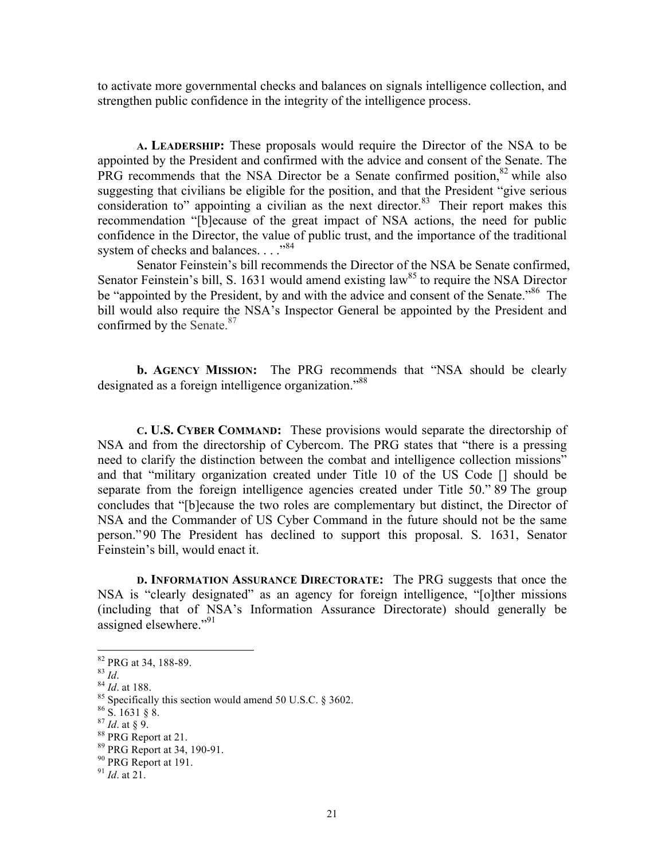to activate more governmental checks and balances on signals intelligence collection, and strengthen public confidence in the integrity of the intelligence process.

**A. LEADERSHIP:** These proposals would require the Director of the NSA to be appointed by the President and confirmed with the advice and consent of the Senate. The PRG recommends that the NSA Director be a Senate confirmed position,  $82$  while also suggesting that civilians be eligible for the position, and that the President "give serious consideration to" appointing a civilian as the next director. $83$  Their report makes this recommendation "[b]ecause of the great impact of NSA actions, the need for public confidence in the Director, the value of public trust, and the importance of the traditional system of checks and balances. . . . "<sup>84</sup>

Senator Feinstein's bill recommends the Director of the NSA be Senate confirmed, Senator Feinstein's bill, S. 1631 would amend existing law<sup>85</sup> to require the NSA Director be "appointed by the President, by and with the advice and consent of the Senate."<sup>86</sup> The bill would also require the NSA's Inspector General be appointed by the President and confirmed by the Senate.<sup>87</sup>

**b. AGENCY MISSION:** The PRG recommends that "NSA should be clearly designated as a foreign intelligence organization."88

**C. U.S. CYBER COMMAND:** These provisions would separate the directorship of NSA and from the directorship of Cybercom. The PRG states that "there is a pressing need to clarify the distinction between the combat and intelligence collection missions" and that "military organization created under Title 10 of the US Code [] should be separate from the foreign intelligence agencies created under Title 50." 89 The group concludes that "[b]ecause the two roles are complementary but distinct, the Director of NSA and the Commander of US Cyber Command in the future should not be the same person."90 The President has declined to support this proposal. S. 1631, Senator Feinstein's bill, would enact it.

**D. INFORMATION ASSURANCE DIRECTORATE:** The PRG suggests that once the NSA is "clearly designated" as an agency for foreign intelligence, "[o]ther missions (including that of NSA's Information Assurance Directorate) should generally be assigned elsewhere."<sup>91</sup>

<sup>&</sup>lt;sup>82</sup> PRG at 34, 188-89.<br><sup>83</sup> *Id.*<br><sup>84</sup> *Id.* at 188.<br><sup>85</sup> Specifically this section would amend 50 U.S.C. § 3602.<br><sup>86</sup> S. 1631 § 8.<br><sup>87</sup> *Id.* at § 9.<br><sup>87</sup> PRG Report at 21.

 $89$  PRG Report at 34, 190-91.<br> $90$  PRG Report at 191.

<sup>91</sup> *Id*. at 21.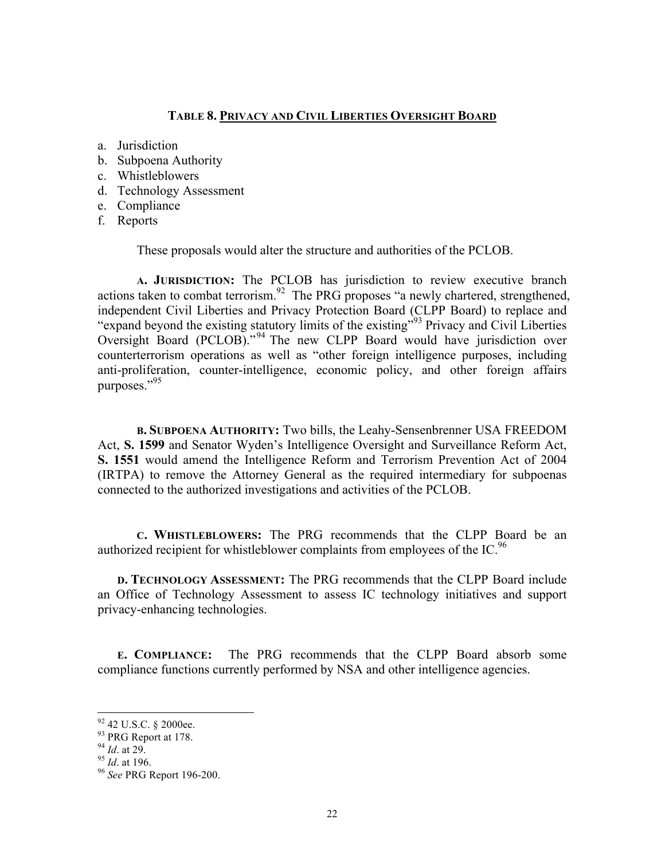# **TABLE 8. PRIVACY AND CIVIL LIBERTIES OVERSIGHT BOARD**

- a. Jurisdiction
- b. Subpoena Authority
- c. Whistleblowers
- d. Technology Assessment
- e. Compliance
- f. Reports

These proposals would alter the structure and authorities of the PCLOB.

**A. JURISDICTION:** The PCLOB has jurisdiction to review executive branch actions taken to combat terrorism.<sup>92</sup> The PRG proposes "a newly chartered, strengthened, independent Civil Liberties and Privacy Protection Board (CLPP Board) to replace and "expand beyond the existing statutory limits of the existing"<sup>93</sup> Privacy and Civil Liberties" Oversight Board (PCLOB)."<sup>94</sup> The new CLPP Board would have jurisdiction over counterterrorism operations as well as "other foreign intelligence purposes, including anti-proliferation, counter-intelligence, economic policy, and other foreign affairs purposes."95

**B. SUBPOENA AUTHORITY:** Two bills, the Leahy-Sensenbrenner USA FREEDOM Act, **S. 1599** and Senator Wyden's Intelligence Oversight and Surveillance Reform Act, **S. 1551** would amend the Intelligence Reform and Terrorism Prevention Act of 2004 (IRTPA) to remove the Attorney General as the required intermediary for subpoenas connected to the authorized investigations and activities of the PCLOB.

**C. WHISTLEBLOWERS:** The PRG recommends that the CLPP Board be an authorized recipient for whistleblower complaints from employees of the IC.<sup>96</sup>

**D. TECHNOLOGY ASSESSMENT:** The PRG recommends that the CLPP Board include an Office of Technology Assessment to assess IC technology initiatives and support privacy-enhancing technologies.

**E. COMPLIANCE:** The PRG recommends that the CLPP Board absorb some compliance functions currently performed by NSA and other intelligence agencies.

 92 42 U.S.C. § 2000ee.

 $^{93}$  PRG Report at 178.<br> $^{94}$  *Id.* at 29.

<sup>94</sup> *Id*. at 29. <sup>95</sup> *Id*. at 196. 96 *See* PRG Report 196-200.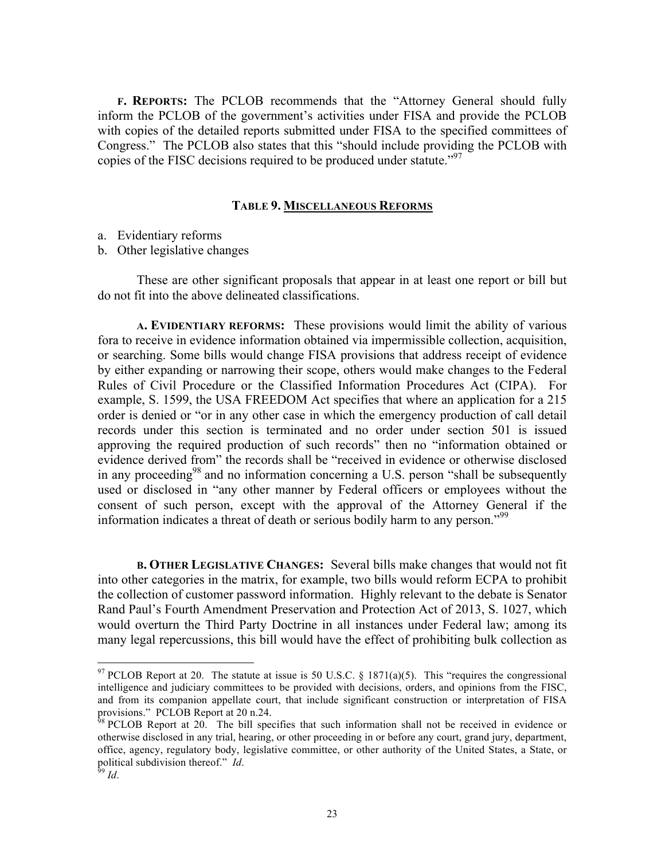**F. REPORTS:** The PCLOB recommends that the "Attorney General should fully inform the PCLOB of the government's activities under FISA and provide the PCLOB with copies of the detailed reports submitted under FISA to the specified committees of Congress." The PCLOB also states that this "should include providing the PCLOB with copies of the FISC decisions required to be produced under statute."<sup>97</sup>

## **TABLE 9. MISCELLANEOUS REFORMS**

- a. Evidentiary reforms
- b. Other legislative changes

These are other significant proposals that appear in at least one report or bill but do not fit into the above delineated classifications.

**A. EVIDENTIARY REFORMS:** These provisions would limit the ability of various fora to receive in evidence information obtained via impermissible collection, acquisition, or searching. Some bills would change FISA provisions that address receipt of evidence by either expanding or narrowing their scope, others would make changes to the Federal Rules of Civil Procedure or the Classified Information Procedures Act (CIPA). For example, S. 1599, the USA FREEDOM Act specifies that where an application for a 215 order is denied or "or in any other case in which the emergency production of call detail records under this section is terminated and no order under section 501 is issued approving the required production of such records" then no "information obtained or evidence derived from" the records shall be "received in evidence or otherwise disclosed in any proceeding<sup>98</sup> and no information concerning a U.S. person "shall be subsequently used or disclosed in "any other manner by Federal officers or employees without the consent of such person, except with the approval of the Attorney General if the information indicates a threat of death or serious bodily harm to any person."<sup>99</sup>

**B. OTHER LEGISLATIVE CHANGES:** Several bills make changes that would not fit into other categories in the matrix, for example, two bills would reform ECPA to prohibit the collection of customer password information. Highly relevant to the debate is Senator Rand Paul's Fourth Amendment Preservation and Protection Act of 2013, S. 1027, which would overturn the Third Party Doctrine in all instances under Federal law; among its many legal repercussions, this bill would have the effect of prohibiting bulk collection as

<sup>&</sup>lt;sup>97</sup> PCLOB Report at 20. The statute at issue is 50 U.S.C. § 1871(a)(5). This "requires the congressional intelligence and judiciary committees to be provided with decisions, orders, and opinions from the FISC, and from its companion appellate court, that include significant construction or interpretation of FISA provisions." PCLOB Report at 20 n.24.

 $98$  PCLOB Report at 20. The bill specifies that such information shall not be received in evidence or otherwise disclosed in any trial, hearing, or other proceeding in or before any court, grand jury, department, office, agency, regulatory body, legislative committee, or other authority of the United States, a State, or political subdivision thereof." *Id*. <sup>99</sup> *Id*.